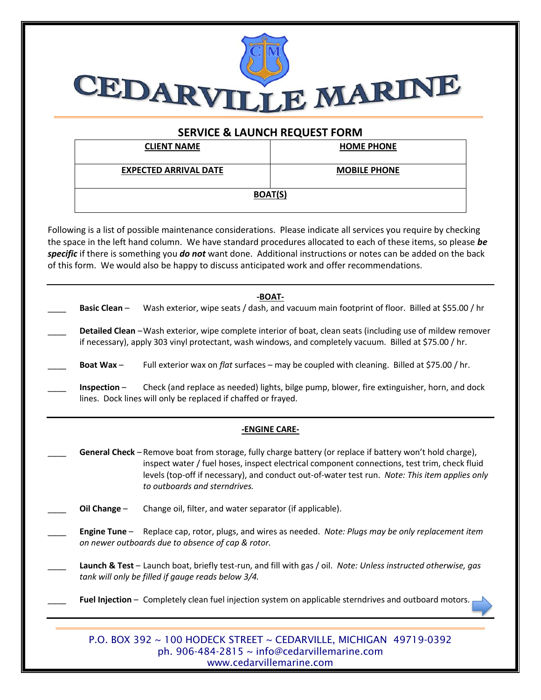

## **SERVICE & LAUNCH REQUEST FORM**

| <b>CLIENT NAME</b>           | <b>HOME PHONE</b>   |  |
|------------------------------|---------------------|--|
| <b>EXPECTED ARRIVAL DATE</b> | <b>MOBILE PHONE</b> |  |
| <b>BOAT(S)</b>               |                     |  |

Following is a list of possible maintenance considerations. Please indicate all services you require by checking the space in the left hand column. We have standard procedures allocated to each of these items, so please *be specific* if there is something you *do not* want done. Additional instructions or notes can be added on the back of this form. We would also be happy to discuss anticipated work and offer recommendations.

|               | <b>Basic Clean-</b> | -BOAT-<br>Wash exterior, wipe seats / dash, and vacuum main footprint of floor. Billed at \$55.00 / hr                                                                                                                                                                                                                                       |  |
|---------------|---------------------|----------------------------------------------------------------------------------------------------------------------------------------------------------------------------------------------------------------------------------------------------------------------------------------------------------------------------------------------|--|
|               |                     | Detailed Clean - Wash exterior, wipe complete interior of boat, clean seats (including use of mildew remover<br>if necessary), apply 303 vinyl protectant, wash windows, and completely vacuum. Billed at \$75.00 / hr.                                                                                                                      |  |
|               | Boat Wax-           | Full exterior wax on flat surfaces - may be coupled with cleaning. Billed at \$75.00 / hr.                                                                                                                                                                                                                                                   |  |
|               | Inspection $-$      | Check (and replace as needed) lights, bilge pump, blower, fire extinguisher, horn, and dock<br>lines. Dock lines will only be replaced if chaffed or frayed.                                                                                                                                                                                 |  |
| -ENGINE CARE- |                     |                                                                                                                                                                                                                                                                                                                                              |  |
|               |                     | General Check - Remove boat from storage, fully charge battery (or replace if battery won't hold charge),<br>inspect water / fuel hoses, inspect electrical component connections, test trim, check fluid<br>levels (top-off if necessary), and conduct out-of-water test run. Note: This item applies only<br>to outboards and sterndrives. |  |
|               | Oil Change -        | Change oil, filter, and water separator (if applicable).                                                                                                                                                                                                                                                                                     |  |
|               | Engine Tune $-$     | Replace cap, rotor, plugs, and wires as needed. Note: Plugs may be only replacement item<br>on newer outboards due to absence of cap & rotor.                                                                                                                                                                                                |  |
|               |                     | Launch & Test - Launch boat, briefly test-run, and fill with gas / oil. Note: Unless instructed otherwise, gas<br>tank will only be filled if gauge reads below 3/4.                                                                                                                                                                         |  |
|               |                     | Fuel Injection - Completely clean fuel injection system on applicable sterndrives and outboard motors.                                                                                                                                                                                                                                       |  |
|               |                     | P.O. BOX 392 ~ 100 HODECK STREET ~ CEDARVILLE, MICHIGAN 49719-0392                                                                                                                                                                                                                                                                           |  |

ph. 906-484-2815 ~ info@cedarvillemarine.com www.cedarvillemarine.com